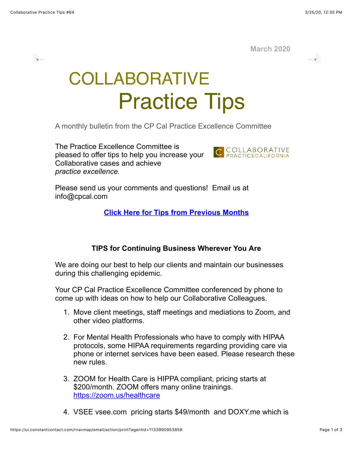v.

H.

**March 2020**

COLLABORATIVE Practice Tips

A monthly bulletin from the CP Cal Practice Excellence Committee

The Practice Excellence Committee is pleased to offer tips to help you increase your Collaborative cases and achieve *practice excellence.*



Please send us your comments and questions! Email us at info@cpcal.com

**[Click Here for Tips from Previous Months](http://www.cpcal.com/for-professionals/practice-tips-newsletter/)**

## **TIPS for Continuing Business Wherever You Are**

We are doing our best to help our clients and maintain our businesses during this challenging epidemic.

Your CP Cal Practice Excellence Committee conferenced by phone to come up with ideas on how to help our Collaborative Colleagues.

- 1. Move client meetings, staff meetings and mediations to Zoom, and other video platforms.
- 2. For Mental Health Professionals who have to comply with HIPAA protocols, some HIPAA requirements regarding providing care via phone or internet services have been eased. Please research these new rules.
- 3. ZOOM for Health Care is HIPPA compliant, pricing starts at \$200/month. ZOOM offers many online trainings. <https://zoom.us/healthcare>
- 4. VSEE vsee.com pricing starts \$49/month and DOXY.me which is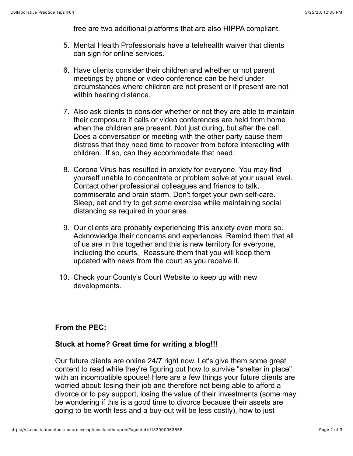free are two additional platforms that are also HIPPA compliant.

- 5. Mental Health Professionals have a telehealth waiver that clients can sign for online services.
- 6. Have clients consider their children and whether or not parent meetings by phone or video conference can be held under circumstances where children are not present or if present are not within hearing distance.
- 7. Also ask clients to consider whether or not they are able to maintain their composure if calls or video conferences are held from home when the children are present. Not just during, but after the call. Does a conversation or meeting with the other party cause them distress that they need time to recover from before interacting with children. If so, can they accommodate that need.
- 8. Corona Virus has resulted in anxiety for everyone. You may find yourself unable to concentrate or problem solve at your usual level. Contact other professional colleagues and friends to talk, commiserate and brain storm. Don't forget your own self-care. Sleep, eat and try to get some exercise while maintaining social distancing as required in your area.
- 9. Our clients are probably experiencing this anxiety even more so. Acknowledge their concerns and experiences. Remind them that all of us are in this together and this is new territory for everyone, including the courts. Reassure them that you will keep them updated with news from the court as you receive it.
- 10. Check your County's Court Website to keep up with new developments.

## **From the PEC:**

## **Stuck at home? Great time for writing a blog!!!**

Our future clients are online 24/7 right now. Let's give them some great content to read while they're figuring out how to survive "shelter in place" with an incompatible spouse! Here are a few things your future clients are worried about: losing their job and therefore not being able to afford a divorce or to pay support, losing the value of their investments (some may be wondering if this is a good time to divorce because their assets are going to be worth less and a buy-out will be less costly), how to just